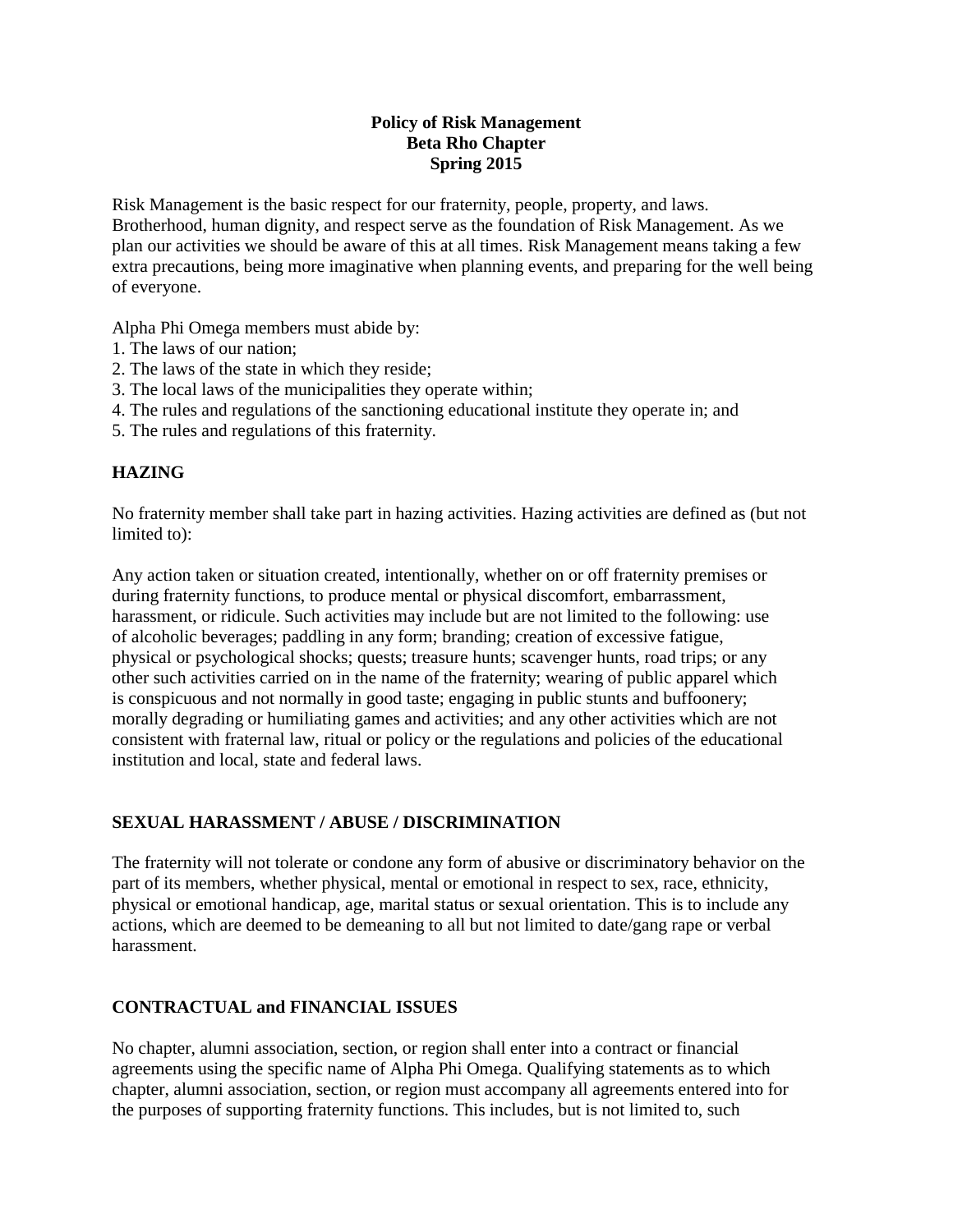### **Policy of Risk Management Beta Rho Chapter Spring 2015**

Risk Management is the basic respect for our fraternity, people, property, and laws. Brotherhood, human dignity, and respect serve as the foundation of Risk Management. As we plan our activities we should be aware of this at all times. Risk Management means taking a few extra precautions, being more imaginative when planning events, and preparing for the well being of everyone.

Alpha Phi Omega members must abide by:

- 1. The laws of our nation;
- 2. The laws of the state in which they reside;
- 3. The local laws of the municipalities they operate within;
- 4. The rules and regulations of the sanctioning educational institute they operate in; and
- 5. The rules and regulations of this fraternity.

### **HAZING**

No fraternity member shall take part in hazing activities. Hazing activities are defined as (but not limited to):

Any action taken or situation created, intentionally, whether on or off fraternity premises or during fraternity functions, to produce mental or physical discomfort, embarrassment, harassment, or ridicule. Such activities may include but are not limited to the following: use of alcoholic beverages; paddling in any form; branding; creation of excessive fatigue, physical or psychological shocks; quests; treasure hunts; scavenger hunts, road trips; or any other such activities carried on in the name of the fraternity; wearing of public apparel which is conspicuous and not normally in good taste; engaging in public stunts and buffoonery; morally degrading or humiliating games and activities; and any other activities which are not consistent with fraternal law, ritual or policy or the regulations and policies of the educational institution and local, state and federal laws.

### **SEXUAL HARASSMENT / ABUSE / DISCRIMINATION**

The fraternity will not tolerate or condone any form of abusive or discriminatory behavior on the part of its members, whether physical, mental or emotional in respect to sex, race, ethnicity, physical or emotional handicap, age, marital status or sexual orientation. This is to include any actions, which are deemed to be demeaning to all but not limited to date/gang rape or verbal harassment.

### **CONTRACTUAL and FINANCIAL ISSUES**

No chapter, alumni association, section, or region shall enter into a contract or financial agreements using the specific name of Alpha Phi Omega. Qualifying statements as to which chapter, alumni association, section, or region must accompany all agreements entered into for the purposes of supporting fraternity functions. This includes, but is not limited to, such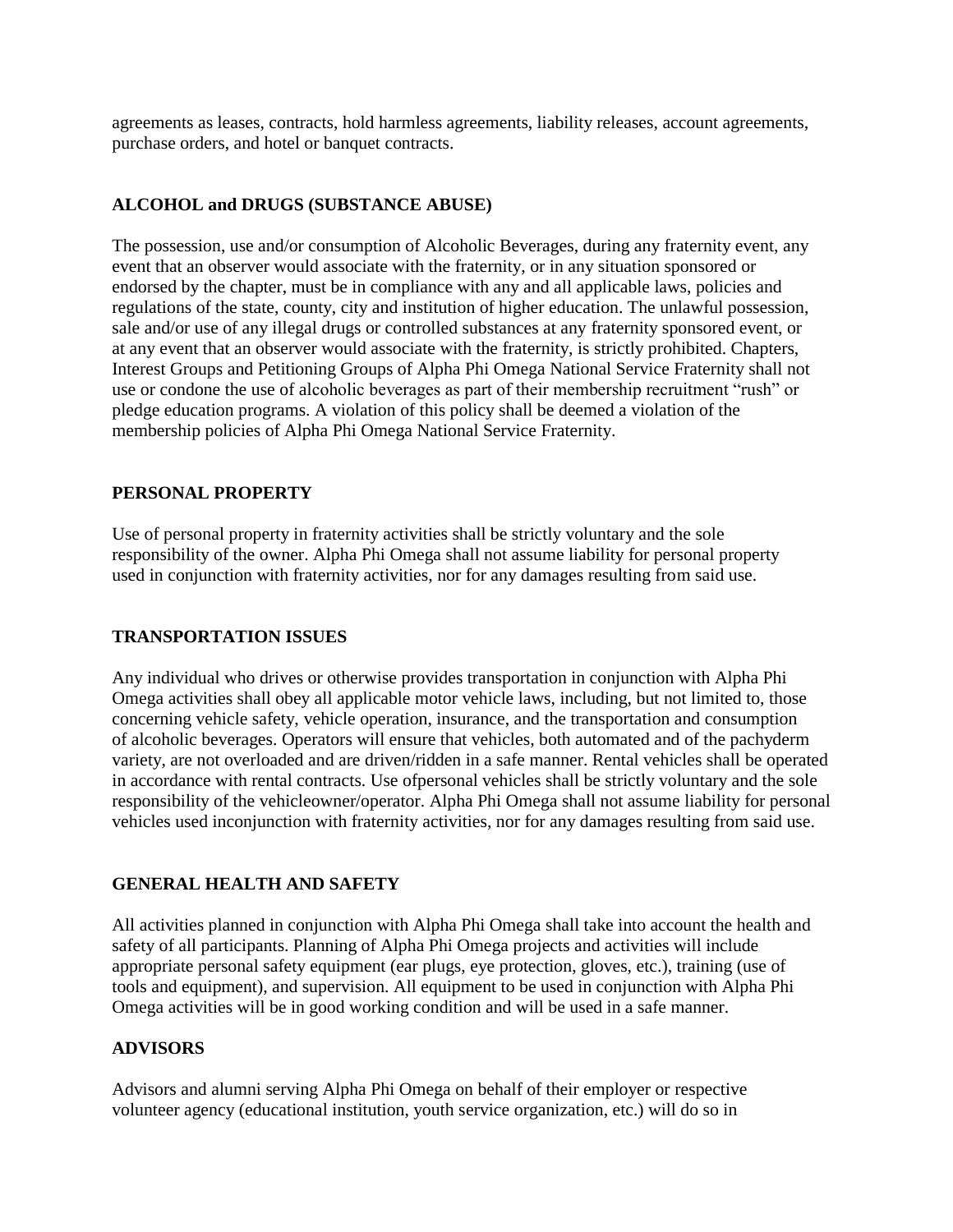agreements as leases, contracts, hold harmless agreements, liability releases, account agreements, purchase orders, and hotel or banquet contracts.

### **ALCOHOL and DRUGS (SUBSTANCE ABUSE)**

The possession, use and/or consumption of Alcoholic Beverages, during any fraternity event, any event that an observer would associate with the fraternity, or in any situation sponsored or endorsed by the chapter, must be in compliance with any and all applicable laws, policies and regulations of the state, county, city and institution of higher education. The unlawful possession, sale and/or use of any illegal drugs or controlled substances at any fraternity sponsored event, or at any event that an observer would associate with the fraternity, is strictly prohibited. Chapters, Interest Groups and Petitioning Groups of Alpha Phi Omega National Service Fraternity shall not use or condone the use of alcoholic beverages as part of their membership recruitment "rush" or pledge education programs. A violation of this policy shall be deemed a violation of the membership policies of Alpha Phi Omega National Service Fraternity.

### **PERSONAL PROPERTY**

Use of personal property in fraternity activities shall be strictly voluntary and the sole responsibility of the owner. Alpha Phi Omega shall not assume liability for personal property used in conjunction with fraternity activities, nor for any damages resulting from said use.

### **TRANSPORTATION ISSUES**

Any individual who drives or otherwise provides transportation in conjunction with Alpha Phi Omega activities shall obey all applicable motor vehicle laws, including, but not limited to, those concerning vehicle safety, vehicle operation, insurance, and the transportation and consumption of alcoholic beverages. Operators will ensure that vehicles, both automated and of the pachyderm variety, are not overloaded and are driven/ridden in a safe manner. Rental vehicles shall be operated in accordance with rental contracts. Use ofpersonal vehicles shall be strictly voluntary and the sole responsibility of the vehicleowner/operator. Alpha Phi Omega shall not assume liability for personal vehicles used inconjunction with fraternity activities, nor for any damages resulting from said use.

### **GENERAL HEALTH AND SAFETY**

All activities planned in conjunction with Alpha Phi Omega shall take into account the health and safety of all participants. Planning of Alpha Phi Omega projects and activities will include appropriate personal safety equipment (ear plugs, eye protection, gloves, etc.), training (use of tools and equipment), and supervision. All equipment to be used in conjunction with Alpha Phi Omega activities will be in good working condition and will be used in a safe manner.

### **ADVISORS**

Advisors and alumni serving Alpha Phi Omega on behalf of their employer or respective volunteer agency (educational institution, youth service organization, etc.) will do so in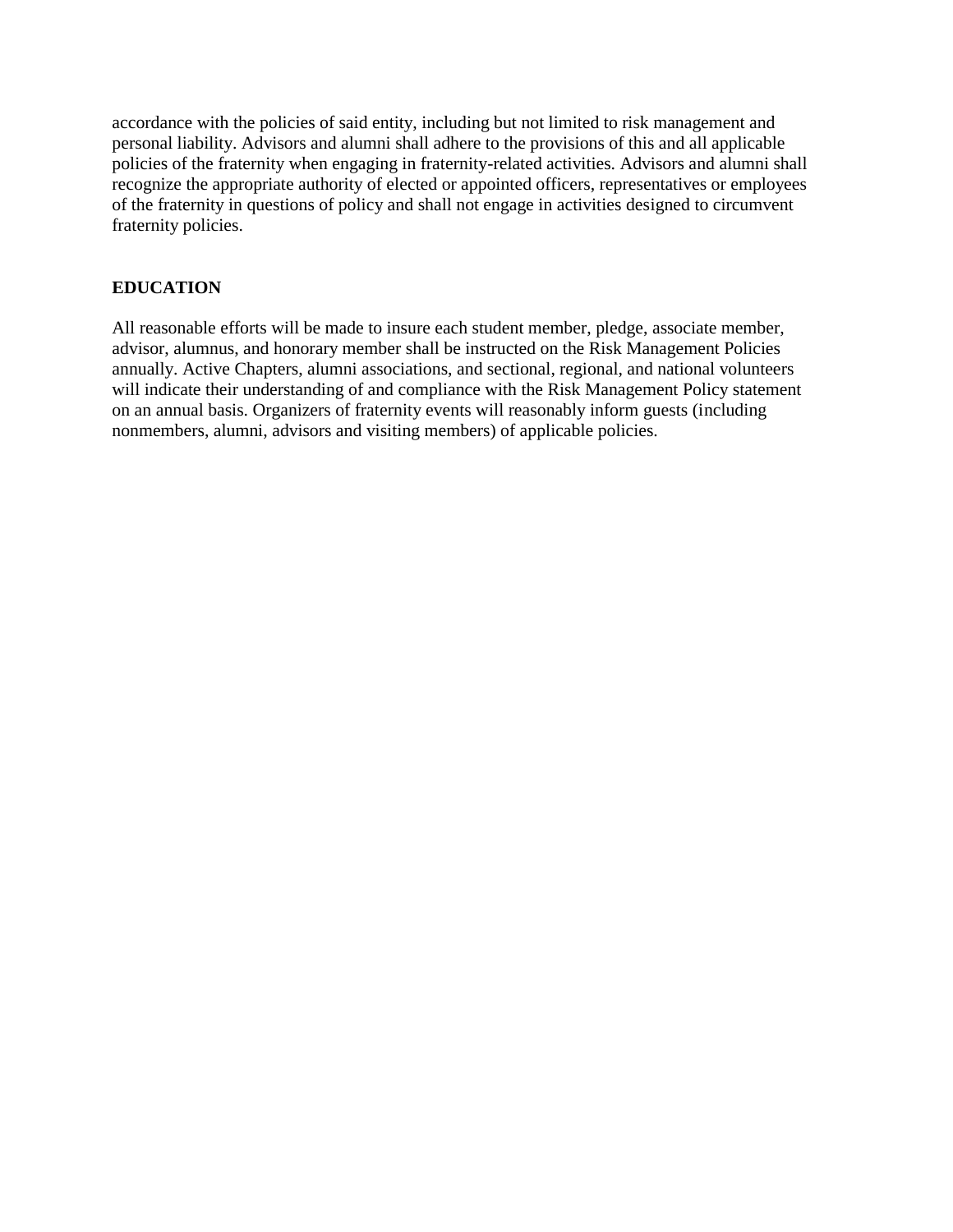accordance with the policies of said entity, including but not limited to risk management and personal liability. Advisors and alumni shall adhere to the provisions of this and all applicable policies of the fraternity when engaging in fraternity-related activities. Advisors and alumni shall recognize the appropriate authority of elected or appointed officers, representatives or employees of the fraternity in questions of policy and shall not engage in activities designed to circumvent fraternity policies.

### **EDUCATION**

All reasonable efforts will be made to insure each student member, pledge, associate member, advisor, alumnus, and honorary member shall be instructed on the Risk Management Policies annually. Active Chapters, alumni associations, and sectional, regional, and national volunteers will indicate their understanding of and compliance with the Risk Management Policy statement on an annual basis. Organizers of fraternity events will reasonably inform guests (including nonmembers, alumni, advisors and visiting members) of applicable policies.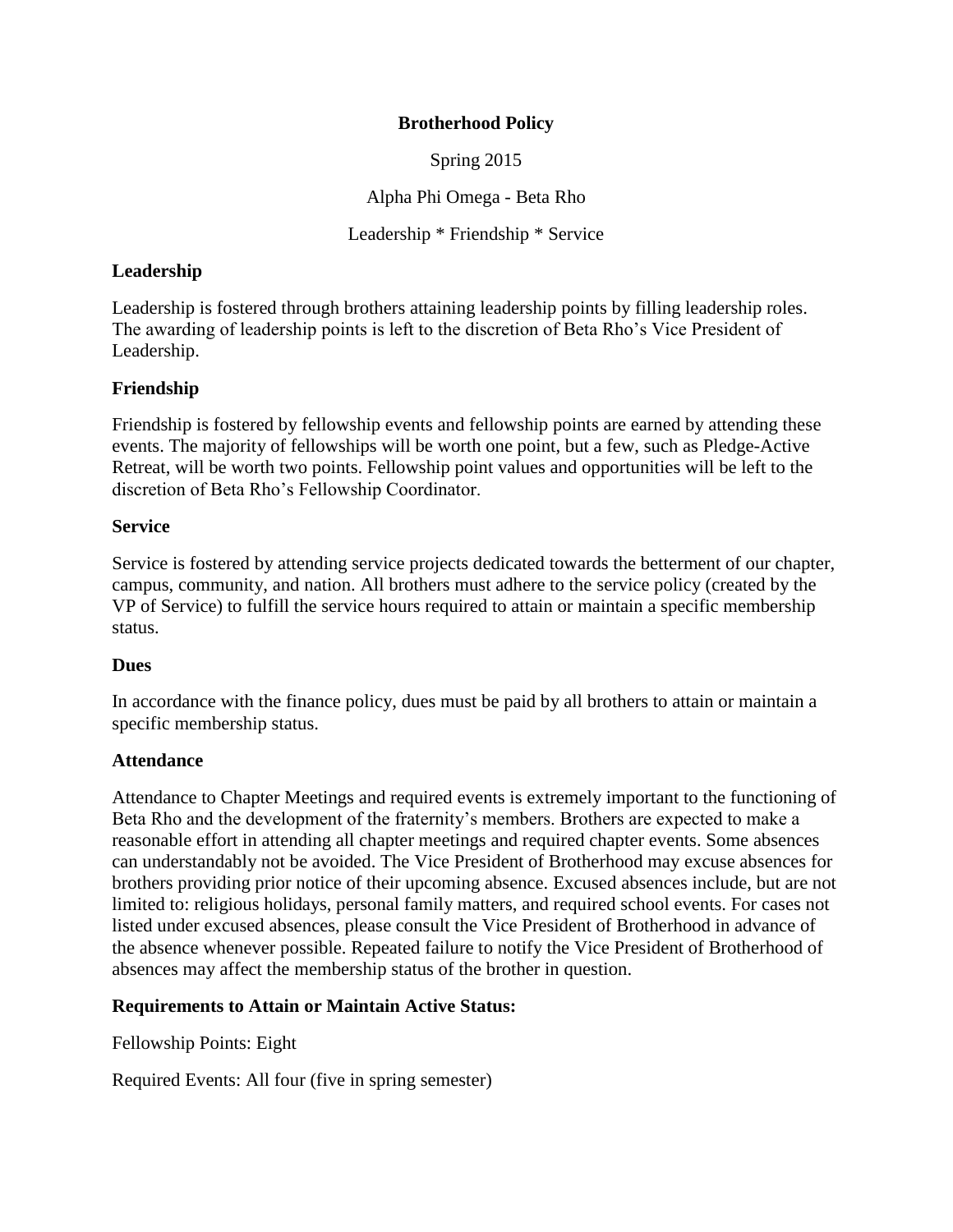### **Brotherhood Policy**

Spring 2015

Alpha Phi Omega - Beta Rho

Leadership \* Friendship \* Service

### **Leadership**

Leadership is fostered through brothers attaining leadership points by filling leadership roles. The awarding of leadership points is left to the discretion of Beta Rho's Vice President of Leadership.

### **Friendship**

Friendship is fostered by fellowship events and fellowship points are earned by attending these events. The majority of fellowships will be worth one point, but a few, such as Pledge-Active Retreat, will be worth two points. Fellowship point values and opportunities will be left to the discretion of Beta Rho's Fellowship Coordinator.

### **Service**

Service is fostered by attending service projects dedicated towards the betterment of our chapter, campus, community, and nation. All brothers must adhere to the service policy (created by the VP of Service) to fulfill the service hours required to attain or maintain a specific membership status.

### **Dues**

In accordance with the finance policy, dues must be paid by all brothers to attain or maintain a specific membership status.

### **Attendance**

Attendance to Chapter Meetings and required events is extremely important to the functioning of Beta Rho and the development of the fraternity's members. Brothers are expected to make a reasonable effort in attending all chapter meetings and required chapter events. Some absences can understandably not be avoided. The Vice President of Brotherhood may excuse absences for brothers providing prior notice of their upcoming absence. Excused absences include, but are not limited to: religious holidays, personal family matters, and required school events. For cases not listed under excused absences, please consult the Vice President of Brotherhood in advance of the absence whenever possible. Repeated failure to notify the Vice President of Brotherhood of absences may affect the membership status of the brother in question.

### **Requirements to Attain or Maintain Active Status:**

Fellowship Points: Eight

Required Events: All four (five in spring semester)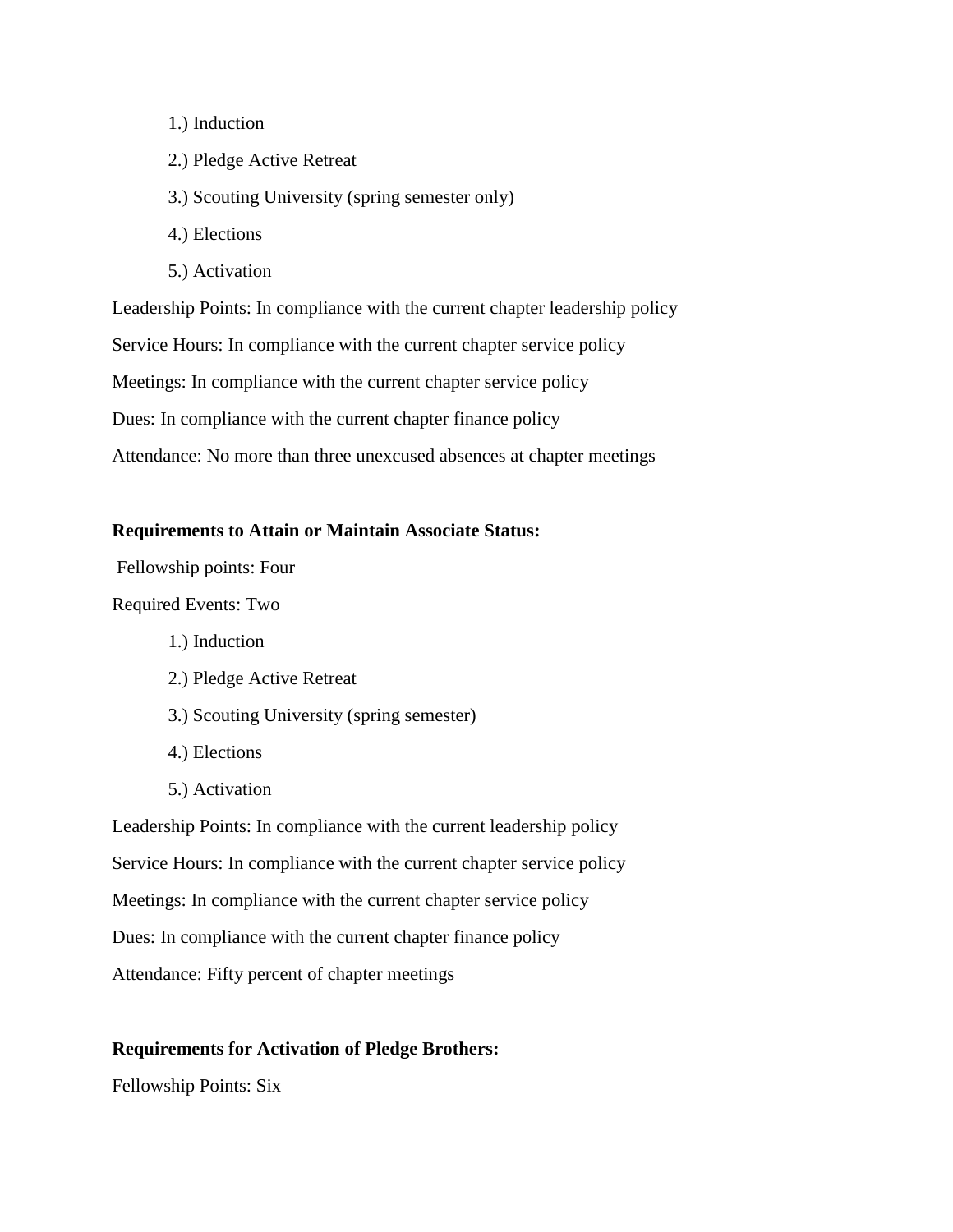- 1.) Induction
- 2.) Pledge Active Retreat
- 3.) Scouting University (spring semester only)
- 4.) Elections
- 5.) Activation

Leadership Points: In compliance with the current chapter leadership policy Service Hours: In compliance with the current chapter service policy Meetings: In compliance with the current chapter service policy Dues: In compliance with the current chapter finance policy Attendance: No more than three unexcused absences at chapter meetings

#### **Requirements to Attain or Maintain Associate Status:**

Fellowship points: Four

Required Events: Two

- 1.) Induction
- 2.) Pledge Active Retreat
- 3.) Scouting University (spring semester)
- 4.) Elections
- 5.) Activation

Leadership Points: In compliance with the current leadership policy Service Hours: In compliance with the current chapter service policy Meetings: In compliance with the current chapter service policy Dues: In compliance with the current chapter finance policy Attendance: Fifty percent of chapter meetings

### **Requirements for Activation of Pledge Brothers:**

Fellowship Points: Six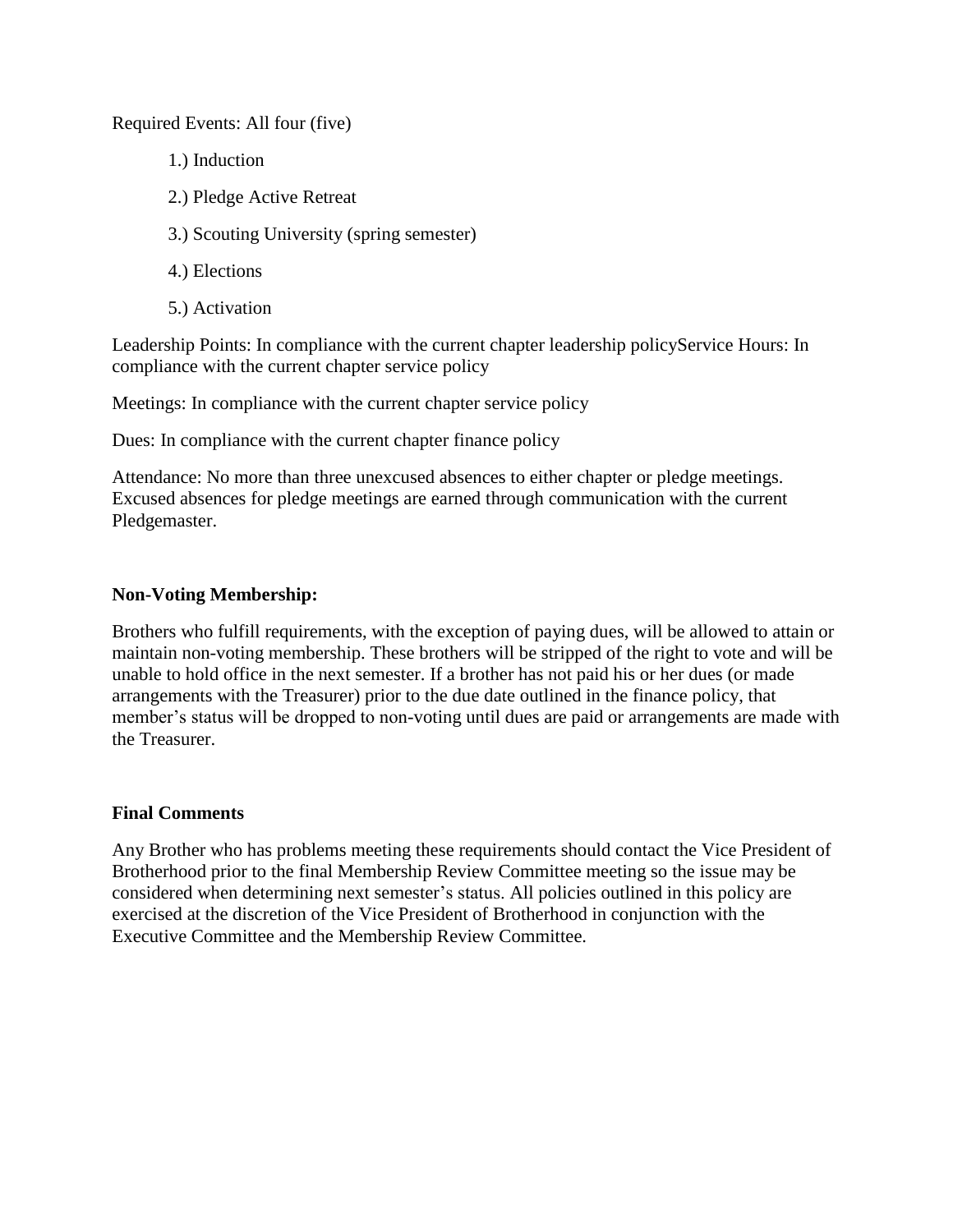Required Events: All four (five)

- 1.) Induction
- 2.) Pledge Active Retreat
- 3.) Scouting University (spring semester)
- 4.) Elections
- 5.) Activation

Leadership Points: In compliance with the current chapter leadership policyService Hours: In compliance with the current chapter service policy

Meetings: In compliance with the current chapter service policy

Dues: In compliance with the current chapter finance policy

Attendance: No more than three unexcused absences to either chapter or pledge meetings. Excused absences for pledge meetings are earned through communication with the current Pledgemaster.

### **Non-Voting Membership:**

Brothers who fulfill requirements, with the exception of paying dues, will be allowed to attain or maintain non-voting membership. These brothers will be stripped of the right to vote and will be unable to hold office in the next semester. If a brother has not paid his or her dues (or made arrangements with the Treasurer) prior to the due date outlined in the finance policy, that member's status will be dropped to non-voting until dues are paid or arrangements are made with the Treasurer.

### **Final Comments**

Any Brother who has problems meeting these requirements should contact the Vice President of Brotherhood prior to the final Membership Review Committee meeting so the issue may be considered when determining next semester's status. All policies outlined in this policy are exercised at the discretion of the Vice President of Brotherhood in conjunction with the Executive Committee and the Membership Review Committee.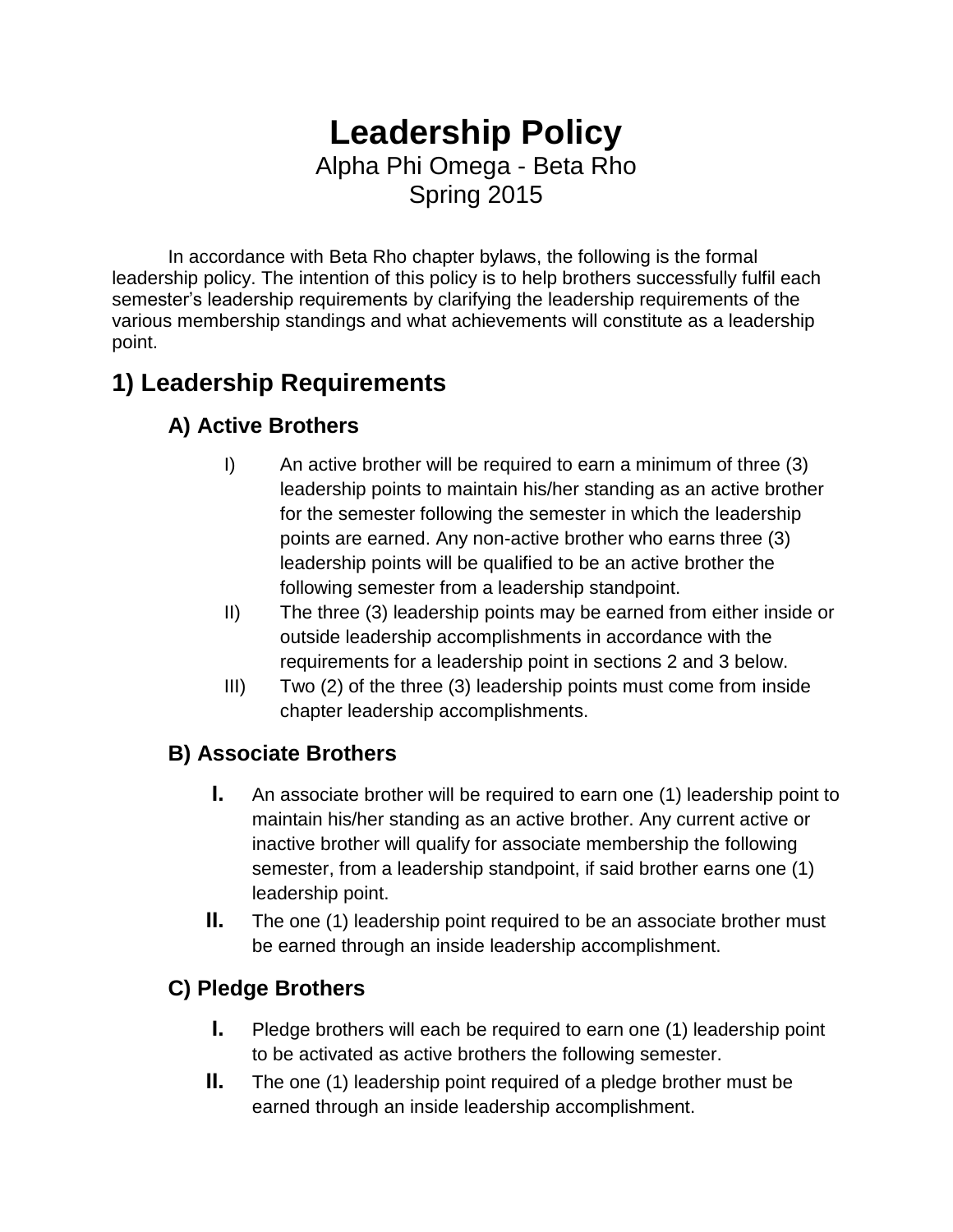# **Leadership Policy** Alpha Phi Omega - Beta Rho Spring 2015

In accordance with Beta Rho chapter bylaws, the following is the formal leadership policy. The intention of this policy is to help brothers successfully fulfil each semester's leadership requirements by clarifying the leadership requirements of the various membership standings and what achievements will constitute as a leadership point.

## **1) Leadership Requirements**

### **A) Active Brothers**

- I) An active brother will be required to earn a minimum of three (3) leadership points to maintain his/her standing as an active brother for the semester following the semester in which the leadership points are earned. Any non-active brother who earns three (3) leadership points will be qualified to be an active brother the following semester from a leadership standpoint.
- II) The three (3) leadership points may be earned from either inside or outside leadership accomplishments in accordance with the requirements for a leadership point in sections 2 and 3 below.
- III) Two (2) of the three (3) leadership points must come from inside chapter leadership accomplishments.

### **B) Associate Brothers**

- **I.** An associate brother will be required to earn one (1) leadership point to maintain his/her standing as an active brother. Any current active or inactive brother will qualify for associate membership the following semester, from a leadership standpoint, if said brother earns one (1) leadership point.
- **II.** The one (1) leadership point required to be an associate brother must be earned through an inside leadership accomplishment.

### **C) Pledge Brothers**

- **I.** Pledge brothers will each be required to earn one (1) leadership point to be activated as active brothers the following semester.
- **II.** The one (1) leadership point required of a pledge brother must be earned through an inside leadership accomplishment.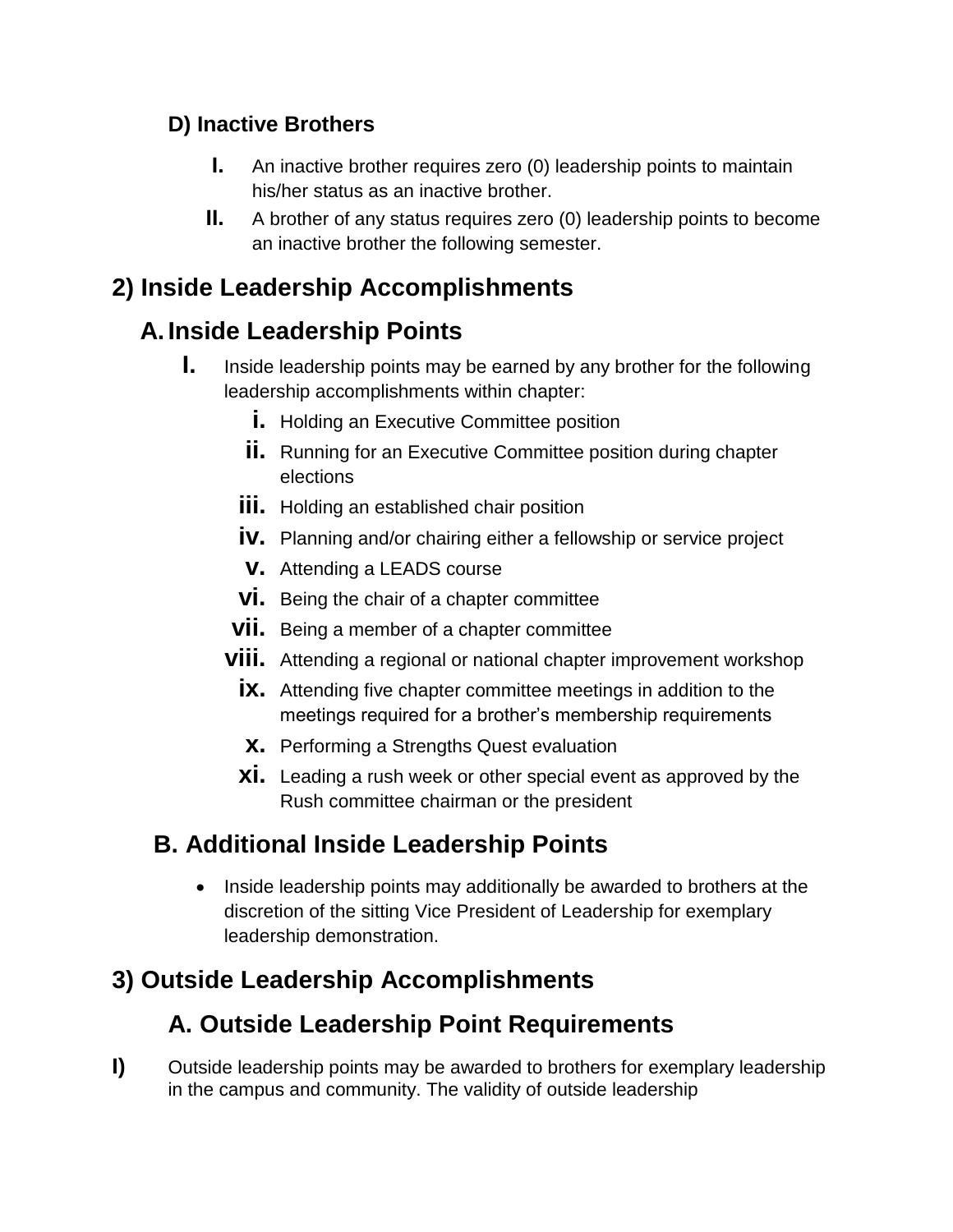### **D) Inactive Brothers**

- **I.** An inactive brother requires zero (0) leadership points to maintain his/her status as an inactive brother.
- **II.** A brother of any status requires zero (0) leadership points to become an inactive brother the following semester.

## **2) Inside Leadership Accomplishments**

# **A. Inside Leadership Points**

- **I.** Inside leadership points may be earned by any brother for the following leadership accomplishments within chapter:
	- **i.** Holding an Executive Committee position
	- **ii.** Running for an Executive Committee position during chapter elections
	- **iii.** Holding an established chair position
	- **iv.** Planning and/or chairing either a fellowship or service project
	- **v.** Attending a LEADS course
	- **vi.** Being the chair of a chapter committee
	- **vii.** Being a member of a chapter committee
	- **viii.** Attending a regional or national chapter improvement workshop
		- **ix.** Attending five chapter committee meetings in addition to the meetings required for a brother's membership requirements
		- **x.** Performing a Strengths Quest evaluation
		- **xi.** Leading a rush week or other special event as approved by the Rush committee chairman or the president

## **B. Additional Inside Leadership Points**

• Inside leadership points may additionally be awarded to brothers at the discretion of the sitting Vice President of Leadership for exemplary leadership demonstration.

## **3) Outside Leadership Accomplishments**

# **A. Outside Leadership Point Requirements**

**I)** Outside leadership points may be awarded to brothers for exemplary leadership in the campus and community. The validity of outside leadership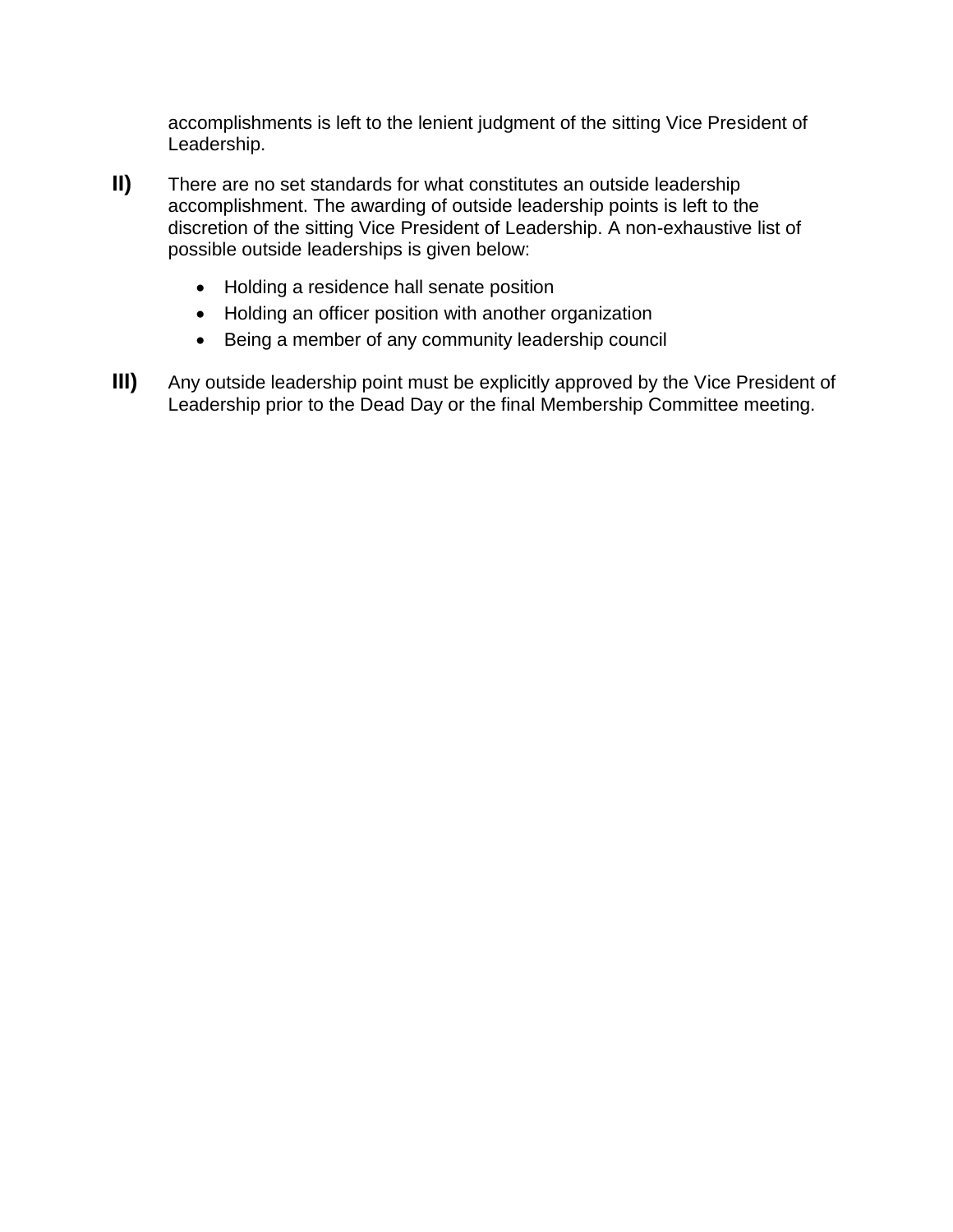accomplishments is left to the lenient judgment of the sitting Vice President of Leadership.

- **II)** There are no set standards for what constitutes an outside leadership accomplishment. The awarding of outside leadership points is left to the discretion of the sitting Vice President of Leadership. A non-exhaustive list of possible outside leaderships is given below:
	- Holding a residence hall senate position
	- Holding an officer position with another organization
	- Being a member of any community leadership council
- **III)** Any outside leadership point must be explicitly approved by the Vice President of Leadership prior to the Dead Day or the final Membership Committee meeting.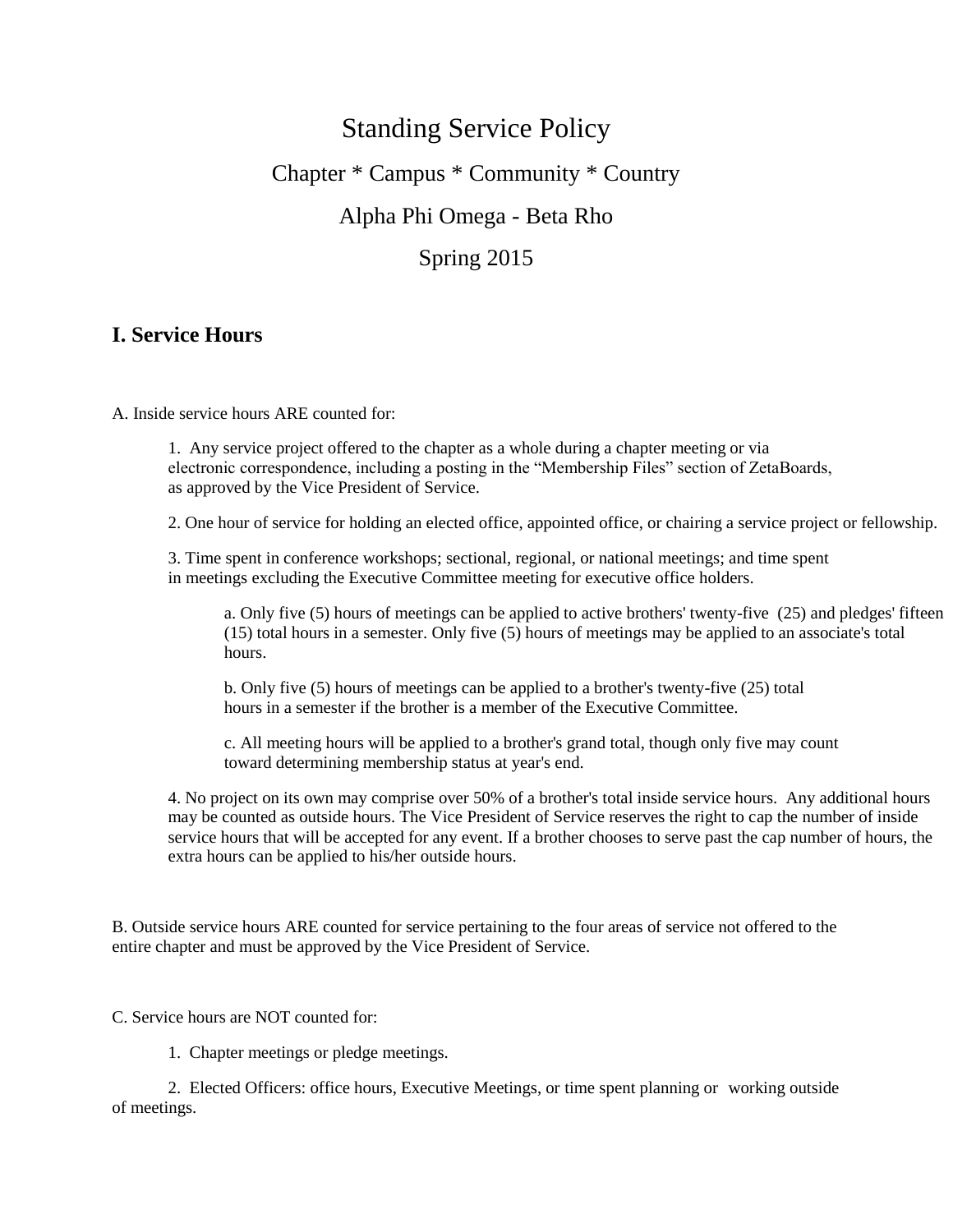# Standing Service Policy Chapter \* Campus \* Community \* Country Alpha Phi Omega - Beta Rho Spring 2015

### **I. Service Hours**

A. Inside service hours ARE counted for:

1. Any service project offered to the chapter as a whole during a chapter meeting or via electronic correspondence, including a posting in the "Membership Files" section of ZetaBoards, as approved by the Vice President of Service.

2. One hour of service for holding an elected office, appointed office, or chairing a service project or fellowship.

3. Time spent in conference workshops; sectional, regional, or national meetings; and time spent in meetings excluding the Executive Committee meeting for executive office holders.

a. Only five (5) hours of meetings can be applied to active brothers' twenty-five (25) and pledges' fifteen (15) total hours in a semester. Only five (5) hours of meetings may be applied to an associate's total hours.

b. Only five (5) hours of meetings can be applied to a brother's twenty-five (25) total hours in a semester if the brother is a member of the Executive Committee.

c. All meeting hours will be applied to a brother's grand total, though only five may count toward determining membership status at year's end.

4. No project on its own may comprise over 50% of a brother's total inside service hours. Any additional hours may be counted as outside hours. The Vice President of Service reserves the right to cap the number of inside service hours that will be accepted for any event. If a brother chooses to serve past the cap number of hours, the extra hours can be applied to his/her outside hours.

B. Outside service hours ARE counted for service pertaining to the four areas of service not offered to the entire chapter and must be approved by the Vice President of Service.

C. Service hours are NOT counted for:

1. Chapter meetings or pledge meetings.

2. Elected Officers: office hours, Executive Meetings, or time spent planning or working outside of meetings.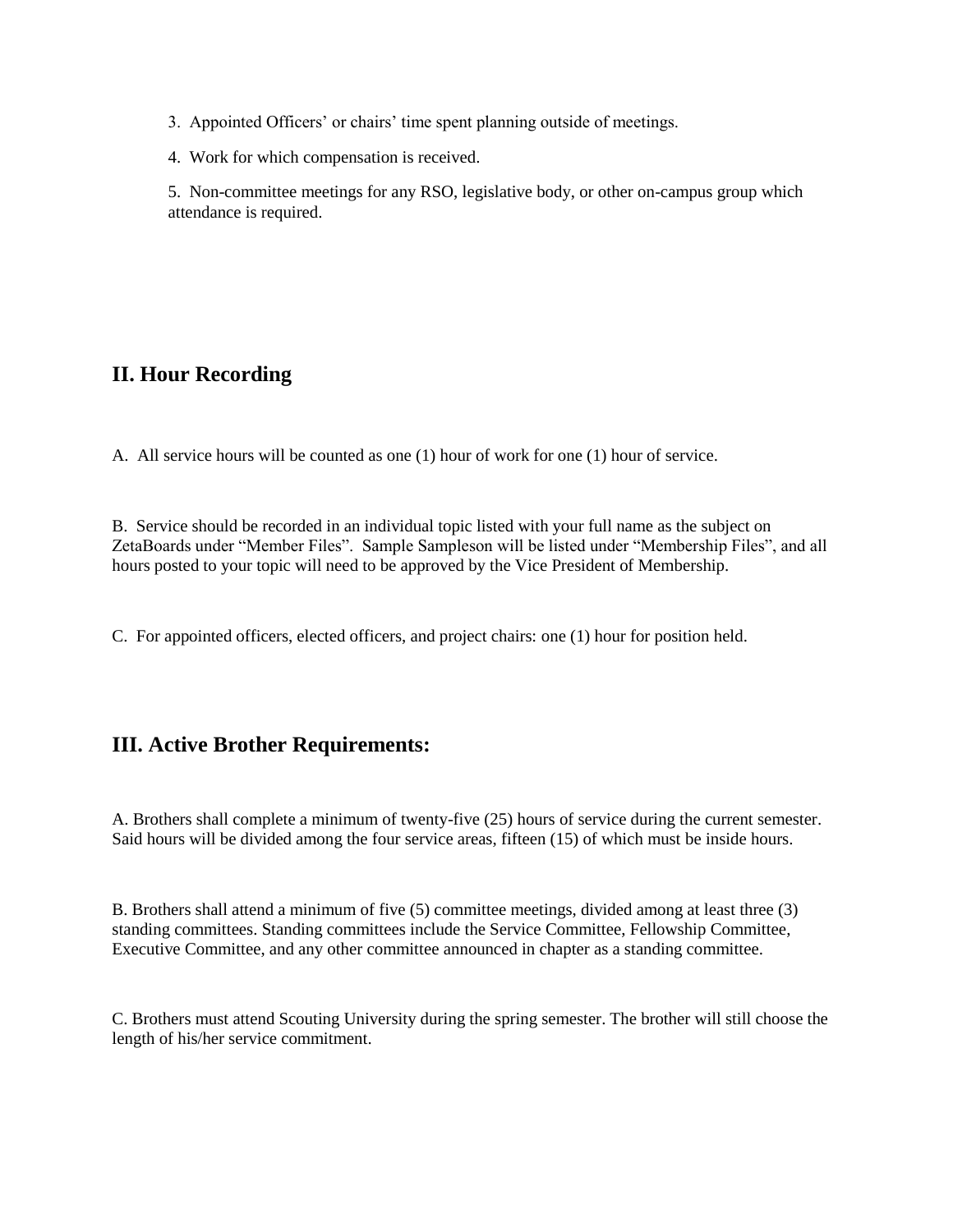- 3. Appointed Officers' or chairs' time spent planning outside of meetings.
- 4. Work for which compensation is received.

5. Non-committee meetings for any RSO, legislative body, or other on-campus group which attendance is required.

### **II. Hour Recording**

A. All service hours will be counted as one (1) hour of work for one (1) hour of service.

B. Service should be recorded in an individual topic listed with your full name as the subject on ZetaBoards under "Member Files". Sample Sampleson will be listed under "Membership Files", and all hours posted to your topic will need to be approved by the Vice President of Membership.

C. For appointed officers, elected officers, and project chairs: one (1) hour for position held.

### **III. Active Brother Requirements:**

A. Brothers shall complete a minimum of twenty-five (25) hours of service during the current semester. Said hours will be divided among the four service areas, fifteen (15) of which must be inside hours.

B. Brothers shall attend a minimum of five (5) committee meetings, divided among at least three (3) standing committees. Standing committees include the Service Committee, Fellowship Committee, Executive Committee, and any other committee announced in chapter as a standing committee.

C. Brothers must attend Scouting University during the spring semester. The brother will still choose the length of his/her service commitment.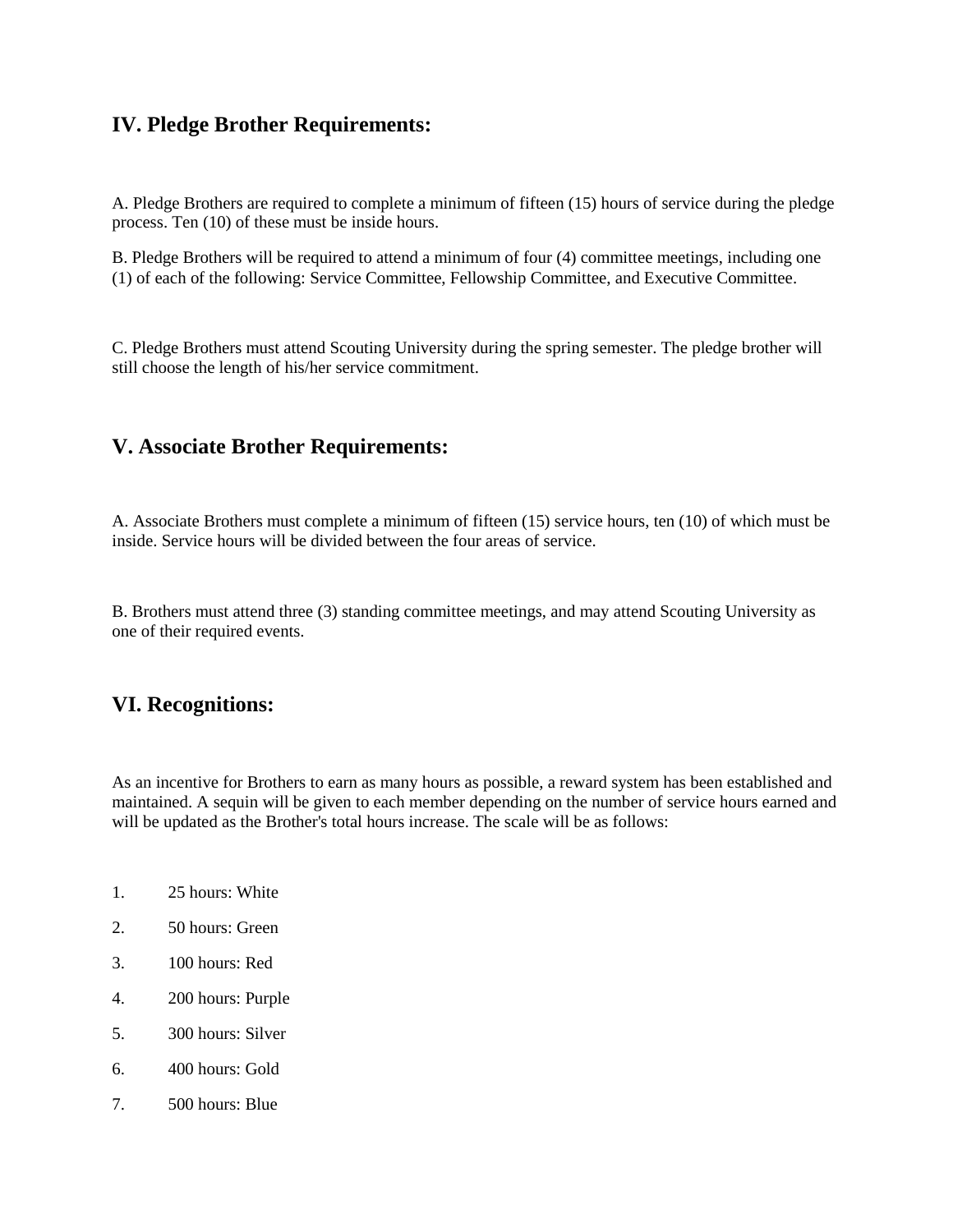### **IV. Pledge Brother Requirements:**

A. Pledge Brothers are required to complete a minimum of fifteen (15) hours of service during the pledge process. Ten (10) of these must be inside hours.

B. Pledge Brothers will be required to attend a minimum of four (4) committee meetings, including one (1) of each of the following: Service Committee, Fellowship Committee, and Executive Committee.

C. Pledge Brothers must attend Scouting University during the spring semester. The pledge brother will still choose the length of his/her service commitment.

### **V. Associate Brother Requirements:**

A. Associate Brothers must complete a minimum of fifteen (15) service hours, ten (10) of which must be inside. Service hours will be divided between the four areas of service.

B. Brothers must attend three (3) standing committee meetings, and may attend Scouting University as one of their required events.

### **VI. Recognitions:**

As an incentive for Brothers to earn as many hours as possible, a reward system has been established and maintained. A sequin will be given to each member depending on the number of service hours earned and will be updated as the Brother's total hours increase. The scale will be as follows:

- 1. 25 hours: White
- 2. 50 hours: Green
- 3. 100 hours: Red
- 4. 200 hours: Purple
- 5. 300 hours: Silver
- 6. 400 hours: Gold
- 7. 500 hours: Blue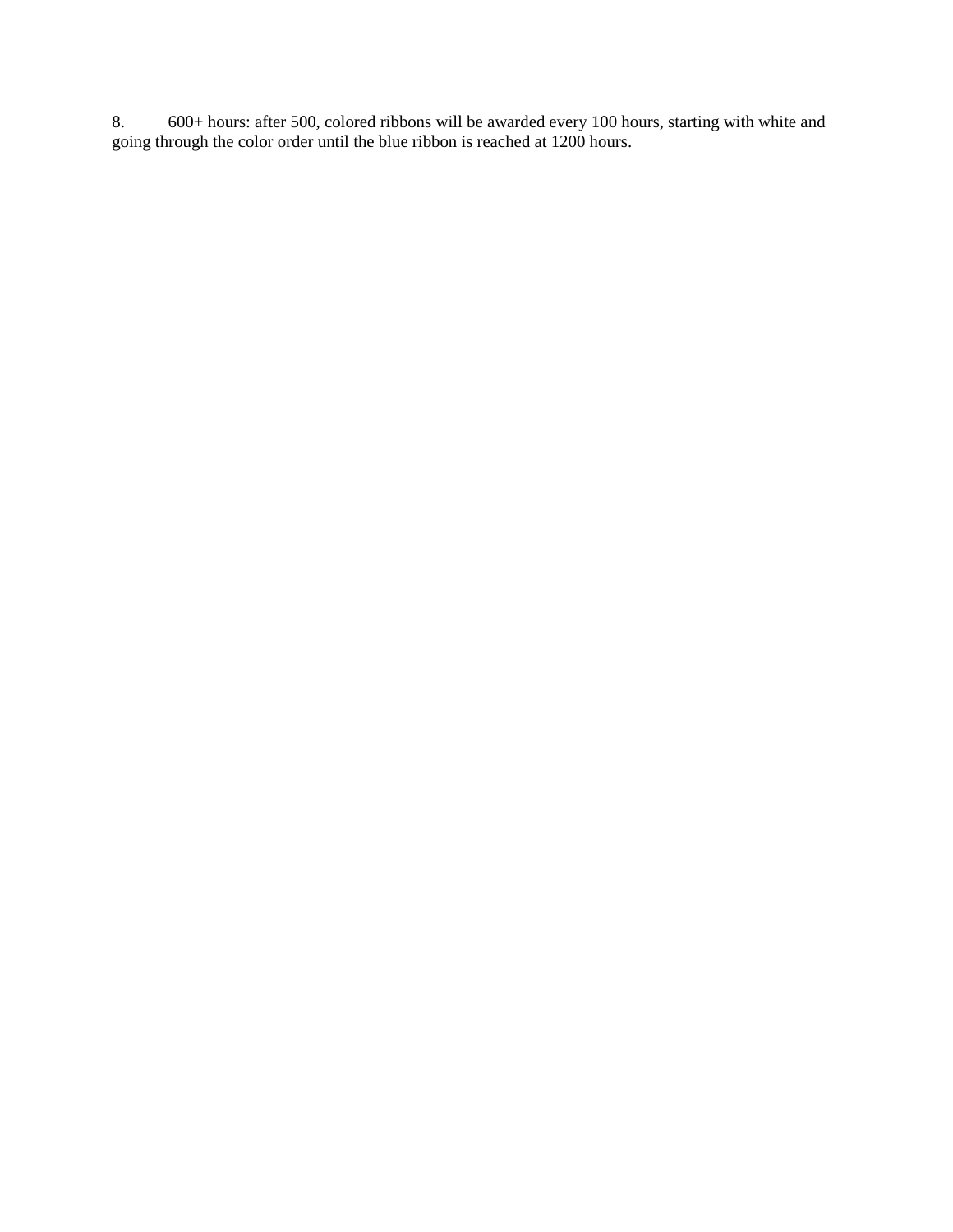8. 600+ hours: after 500, colored ribbons will be awarded every 100 hours, starting with white and going through the color order until the blue ribbon is reached at 1200 hours.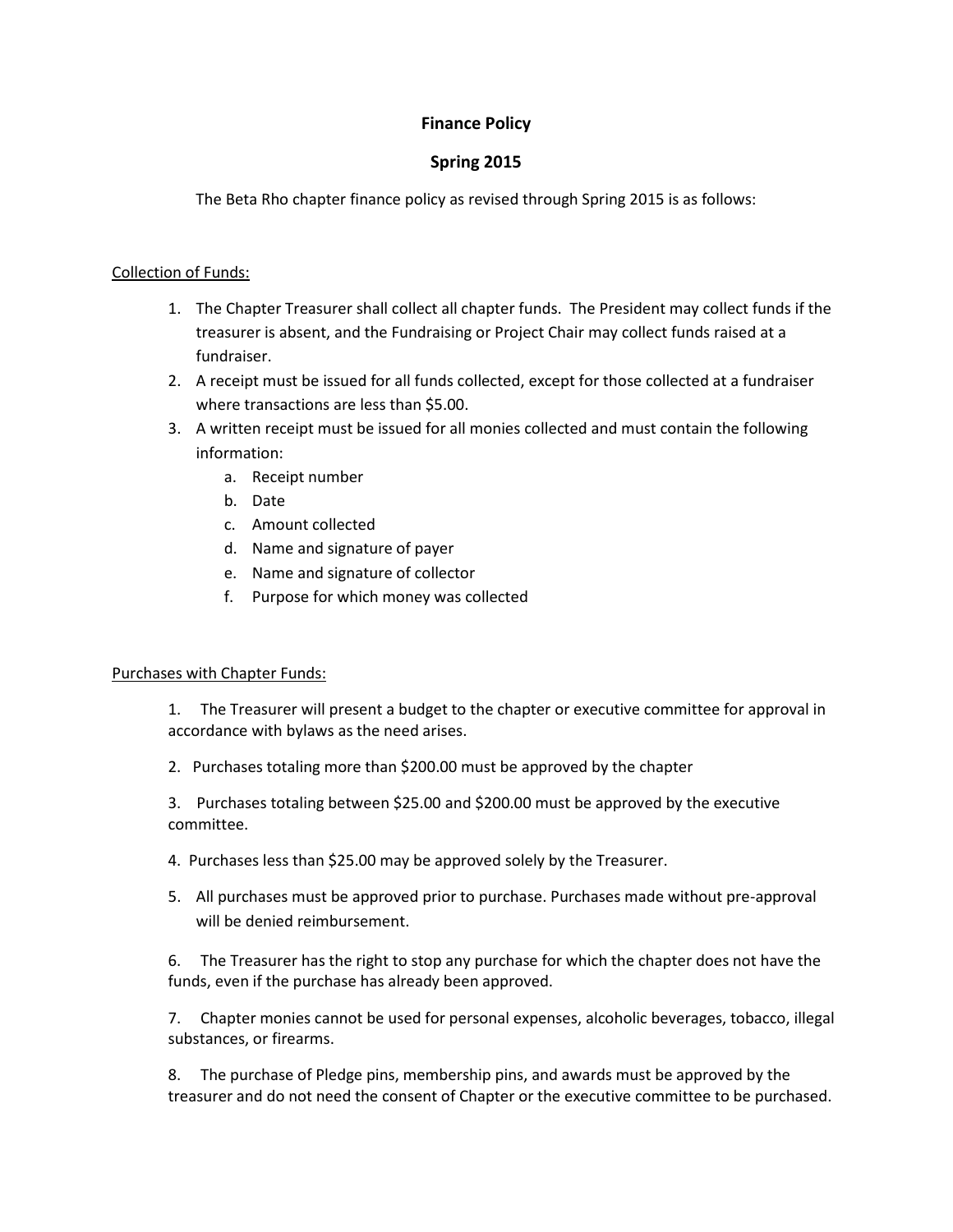### **Finance Policy**

### **Spring 2015**

The Beta Rho chapter finance policy as revised through Spring 2015 is as follows:

#### Collection of Funds:

- 1. The Chapter Treasurer shall collect all chapter funds. The President may collect funds if the treasurer is absent, and the Fundraising or Project Chair may collect funds raised at a fundraiser.
- 2. A receipt must be issued for all funds collected, except for those collected at a fundraiser where transactions are less than \$5.00.
- 3. A written receipt must be issued for all monies collected and must contain the following information:
	- a. Receipt number
	- b. Date
	- c. Amount collected
	- d. Name and signature of payer
	- e. Name and signature of collector
	- f. Purpose for which money was collected

#### Purchases with Chapter Funds:

1. The Treasurer will present a budget to the chapter or executive committee for approval in accordance with bylaws as the need arises.

2. Purchases totaling more than \$200.00 must be approved by the chapter

3. Purchases totaling between \$25.00 and \$200.00 must be approved by the executive committee.

- 4. Purchases less than \$25.00 may be approved solely by the Treasurer.
- 5. All purchases must be approved prior to purchase. Purchases made without pre-approval will be denied reimbursement.

6. The Treasurer has the right to stop any purchase for which the chapter does not have the funds, even if the purchase has already been approved.

7. Chapter monies cannot be used for personal expenses, alcoholic beverages, tobacco, illegal substances, or firearms.

8. The purchase of Pledge pins, membership pins, and awards must be approved by the treasurer and do not need the consent of Chapter or the executive committee to be purchased.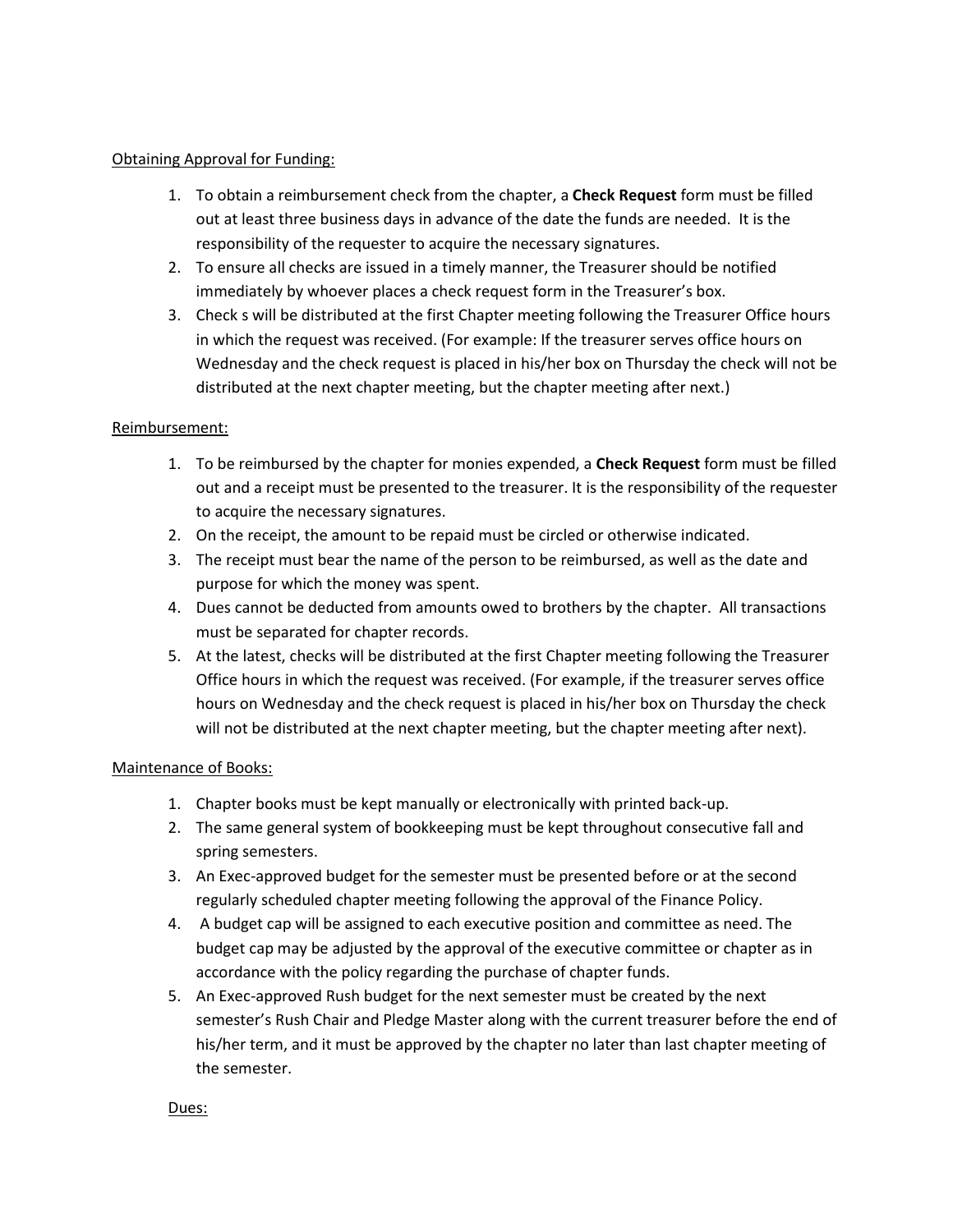#### Obtaining Approval for Funding:

- 1. To obtain a reimbursement check from the chapter, a **Check Request** form must be filled out at least three business days in advance of the date the funds are needed. It is the responsibility of the requester to acquire the necessary signatures.
- 2. To ensure all checks are issued in a timely manner, the Treasurer should be notified immediately by whoever places a check request form in the Treasurer's box.
- 3. Check s will be distributed at the first Chapter meeting following the Treasurer Office hours in which the request was received. (For example: If the treasurer serves office hours on Wednesday and the check request is placed in his/her box on Thursday the check will not be distributed at the next chapter meeting, but the chapter meeting after next.)

#### Reimbursement:

- 1. To be reimbursed by the chapter for monies expended, a **Check Request** form must be filled out and a receipt must be presented to the treasurer. It is the responsibility of the requester to acquire the necessary signatures.
- 2. On the receipt, the amount to be repaid must be circled or otherwise indicated.
- 3. The receipt must bear the name of the person to be reimbursed, as well as the date and purpose for which the money was spent.
- 4. Dues cannot be deducted from amounts owed to brothers by the chapter. All transactions must be separated for chapter records.
- 5. At the latest, checks will be distributed at the first Chapter meeting following the Treasurer Office hours in which the request was received. (For example, if the treasurer serves office hours on Wednesday and the check request is placed in his/her box on Thursday the check will not be distributed at the next chapter meeting, but the chapter meeting after next).

#### Maintenance of Books:

- 1. Chapter books must be kept manually or electronically with printed back-up.
- 2. The same general system of bookkeeping must be kept throughout consecutive fall and spring semesters.
- 3. An Exec-approved budget for the semester must be presented before or at the second regularly scheduled chapter meeting following the approval of the Finance Policy.
- 4. A budget cap will be assigned to each executive position and committee as need. The budget cap may be adjusted by the approval of the executive committee or chapter as in accordance with the policy regarding the purchase of chapter funds.
- 5. An Exec-approved Rush budget for the next semester must be created by the next semester's Rush Chair and Pledge Master along with the current treasurer before the end of his/her term, and it must be approved by the chapter no later than last chapter meeting of the semester.

#### Dues: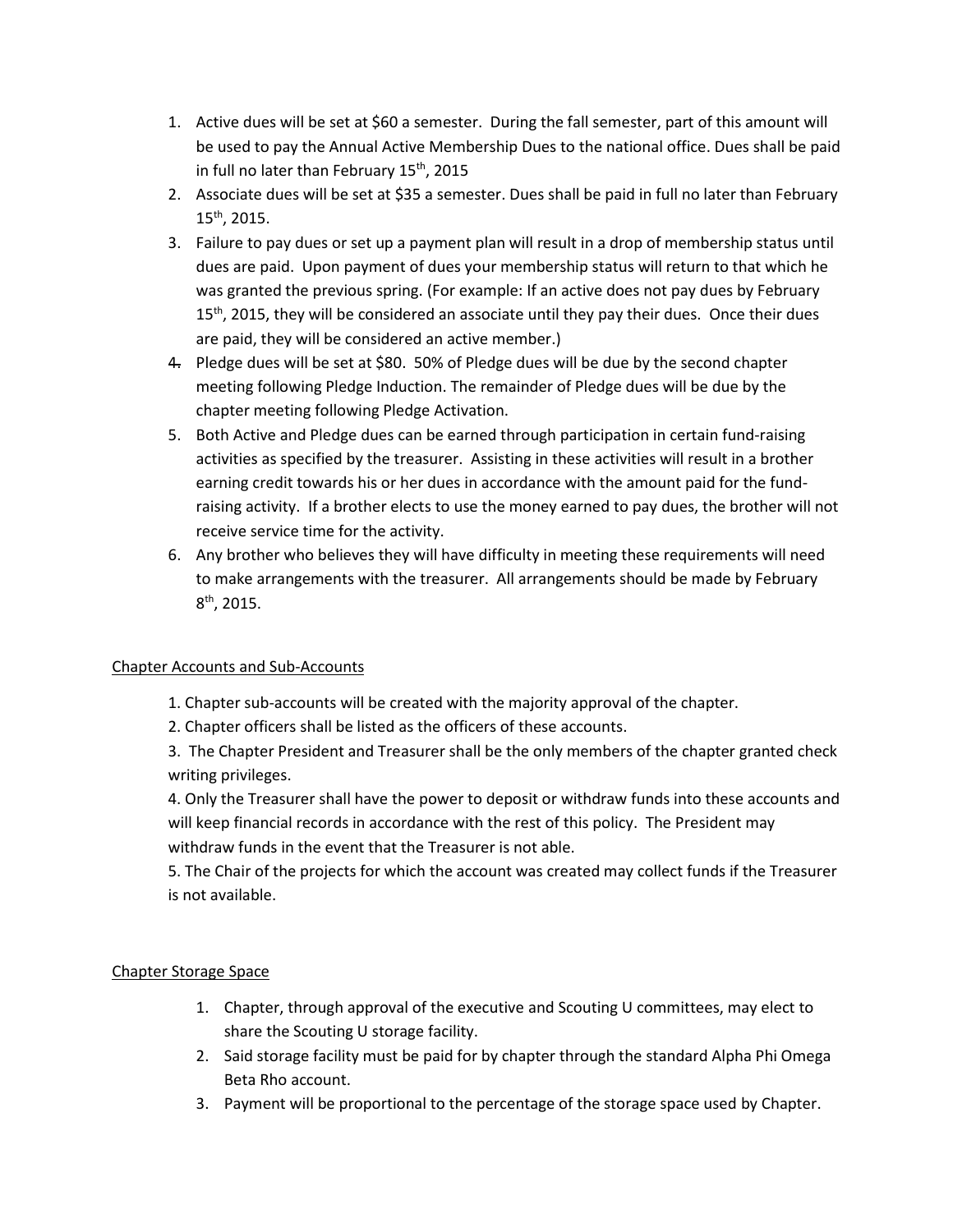- 1. Active dues will be set at \$60 a semester. During the fall semester, part of this amount will be used to pay the Annual Active Membership Dues to the national office. Dues shall be paid in full no later than February  $15^{th}$ , 2015
- 2. Associate dues will be set at \$35 a semester. Dues shall be paid in full no later than February 15th, 2015.
- 3. Failure to pay dues or set up a payment plan will result in a drop of membership status until dues are paid. Upon payment of dues your membership status will return to that which he was granted the previous spring. (For example: If an active does not pay dues by February  $15<sup>th</sup>$ , 2015, they will be considered an associate until they pay their dues. Once their dues are paid, they will be considered an active member.)
- 4. Pledge dues will be set at \$80. 50% of Pledge dues will be due by the second chapter meeting following Pledge Induction. The remainder of Pledge dues will be due by the chapter meeting following Pledge Activation.
- 5. Both Active and Pledge dues can be earned through participation in certain fund-raising activities as specified by the treasurer. Assisting in these activities will result in a brother earning credit towards his or her dues in accordance with the amount paid for the fundraising activity. If a brother elects to use the money earned to pay dues, the brother will not receive service time for the activity.
- 6. Any brother who believes they will have difficulty in meeting these requirements will need to make arrangements with the treasurer. All arrangements should be made by February  $8^{\text{th}}$ , 2015.

### Chapter Accounts and Sub-Accounts

- 1. Chapter sub-accounts will be created with the majority approval of the chapter.
- 2. Chapter officers shall be listed as the officers of these accounts.

3. The Chapter President and Treasurer shall be the only members of the chapter granted check writing privileges.

4. Only the Treasurer shall have the power to deposit or withdraw funds into these accounts and will keep financial records in accordance with the rest of this policy. The President may withdraw funds in the event that the Treasurer is not able.

5. The Chair of the projects for which the account was created may collect funds if the Treasurer is not available.

### Chapter Storage Space

- 1. Chapter, through approval of the executive and Scouting U committees, may elect to share the Scouting U storage facility.
- 2. Said storage facility must be paid for by chapter through the standard Alpha Phi Omega Beta Rho account.
- 3. Payment will be proportional to the percentage of the storage space used by Chapter.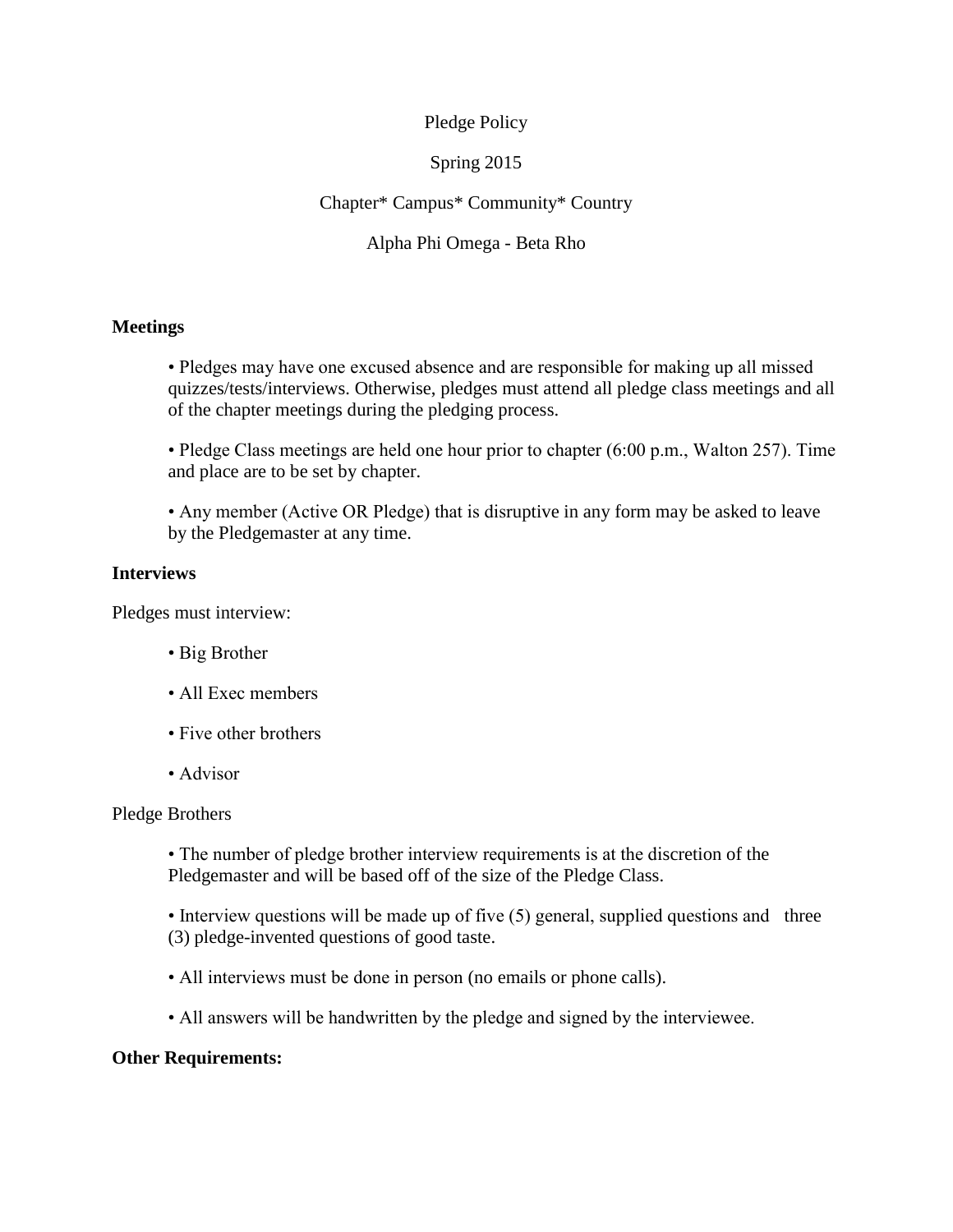### Pledge Policy

### Spring 2015

### Chapter\* Campus\* Community\* Country

### Alpha Phi Omega - Beta Rho

### **Meetings**

• Pledges may have one excused absence and are responsible for making up all missed quizzes/tests/interviews. Otherwise, pledges must attend all pledge class meetings and all of the chapter meetings during the pledging process.

• Pledge Class meetings are held one hour prior to chapter (6:00 p.m., Walton 257). Time and place are to be set by chapter.

• Any member (Active OR Pledge) that is disruptive in any form may be asked to leave by the Pledgemaster at any time.

### **Interviews**

Pledges must interview:

- Big Brother
- All Exec members
- Five other brothers
- Advisor

### Pledge Brothers

• The number of pledge brother interview requirements is at the discretion of the Pledgemaster and will be based off of the size of the Pledge Class.

• Interview questions will be made up of five (5) general, supplied questions and three (3) pledge-invented questions of good taste.

- All interviews must be done in person (no emails or phone calls).
- All answers will be handwritten by the pledge and signed by the interviewee.

### **Other Requirements:**